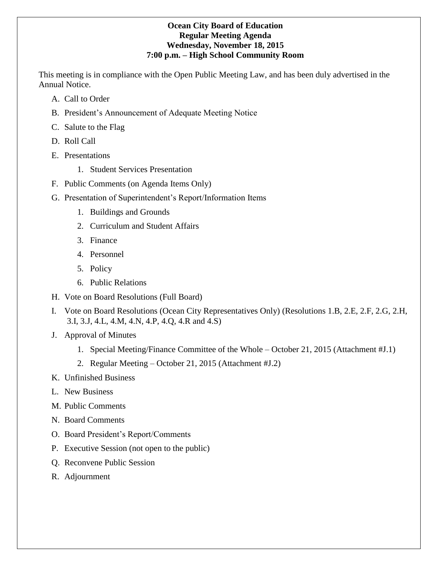# **Ocean City Board of Education Regular Meeting Agenda Wednesday, November 18, 2015 7:00 p.m. – High School Community Room**

This meeting is in compliance with the Open Public Meeting Law, and has been duly advertised in the Annual Notice.

- A. Call to Order
- B. President's Announcement of Adequate Meeting Notice
- C. Salute to the Flag
- D. Roll Call
- E. Presentations
	- 1. Student Services Presentation
- F. Public Comments (on Agenda Items Only)
- G. Presentation of Superintendent's Report/Information Items
	- 1. Buildings and Grounds
	- 2. Curriculum and Student Affairs
	- 3. Finance
	- 4. Personnel
	- 5. Policy
	- 6. Public Relations
- H. Vote on Board Resolutions (Full Board)
- I. Vote on Board Resolutions (Ocean City Representatives Only) (Resolutions 1.B, 2.E, 2.F, 2.G, 2.H, 3.I, 3.J, 4.L, 4.M, 4.N, 4.P, 4.Q, 4.R and 4.S)
- J. Approval of Minutes
	- 1. Special Meeting/Finance Committee of the Whole October 21, 2015 (Attachment #J.1)
	- 2. Regular Meeting October 21, 2015 (Attachment #J.2)
- K. Unfinished Business
- L. New Business
- M. Public Comments
- N. Board Comments
- O. Board President's Report/Comments
- P. Executive Session (not open to the public)
- Q. Reconvene Public Session
- R. Adjournment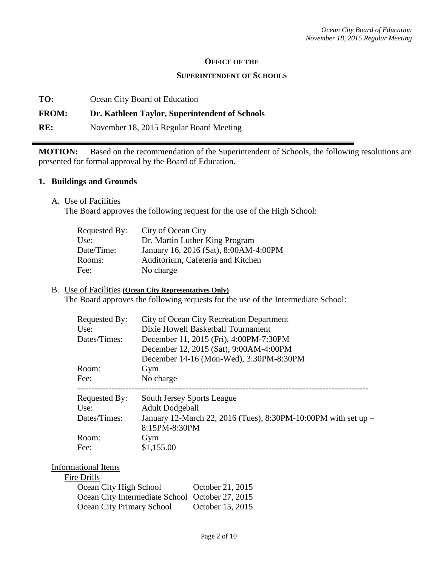## **OFFICE OF THE**

## **SUPERINTENDENT OF SCHOOLS**

**TO:** Ocean City Board of Education

# **FROM: Dr. Kathleen Taylor, Superintendent of Schools**

**RE:** November 18, 2015 Regular Board Meeting

**MOTION:** Based on the recommendation of the Superintendent of Schools, the following resolutions are presented for formal approval by the Board of Education.

## **1. Buildings and Grounds**

A. Use of Facilities

The Board approves the following request for the use of the High School:

| Requested By: | City of Ocean City                    |
|---------------|---------------------------------------|
| Use:          | Dr. Martin Luther King Program        |
| Date/Time:    | January 16, 2016 (Sat), 8:00AM-4:00PM |
| Rooms:        | Auditorium, Cafeteria and Kitchen     |
| Fee:          | No charge                             |

## B. Use of Facilities **(Ocean City Representatives Only)**

The Board approves the following requests for the use of the Intermediate School:

| Requested By:<br>Use:<br>Dates/Times: | City of Ocean City Recreation Department<br>Dixie Howell Basketball Tournament<br>December 11, 2015 (Fri), 4:00PM-7:30PM<br>December 12, 2015 (Sat), 9:00AM-4:00PM<br>December 14-16 (Mon-Wed), 3:30PM-8:30PM |  |  |
|---------------------------------------|---------------------------------------------------------------------------------------------------------------------------------------------------------------------------------------------------------------|--|--|
| Room:                                 | Gym                                                                                                                                                                                                           |  |  |
| Fee:                                  | No charge                                                                                                                                                                                                     |  |  |
| Requested By:                         | South Jersey Sports League                                                                                                                                                                                    |  |  |
| Use:                                  | <b>Adult Dodgeball</b>                                                                                                                                                                                        |  |  |
| Dates/Times:                          | January 12-March 22, 2016 (Tues), 8:30PM-10:00PM with set up -                                                                                                                                                |  |  |
|                                       | 8:15PM-8:30PM                                                                                                                                                                                                 |  |  |
|                                       | Gym                                                                                                                                                                                                           |  |  |
| Room:                                 |                                                                                                                                                                                                               |  |  |

#### Informational Items Fire Drills

| 'e Drilis                                       |                  |
|-------------------------------------------------|------------------|
| Ocean City High School                          | October 21, 2015 |
| Ocean City Intermediate School October 27, 2015 |                  |
| Ocean City Primary School                       | October 15, 2015 |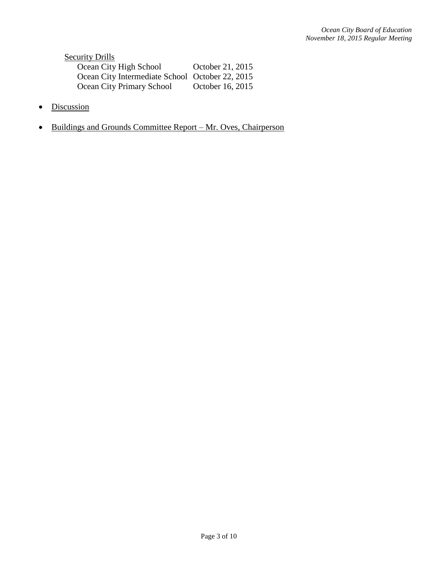**Security Drills** Ocean City High School October 21, 2015 Ocean City Intermediate School October 22, 2015 Ocean City Primary School October 16, 2015

- Discussion
- Buildings and Grounds Committee Report Mr. Oves, Chairperson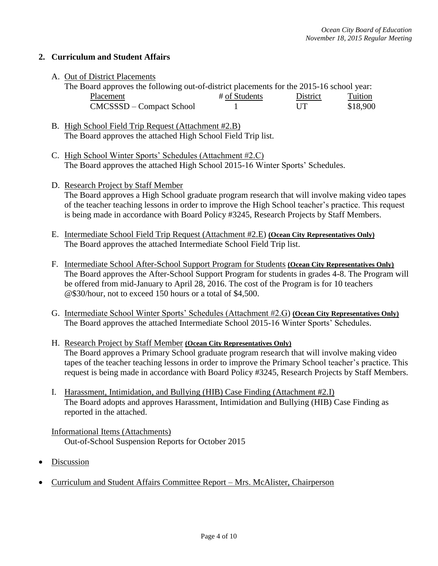# **2. Curriculum and Student Affairs**

A. Out of District Placements

| The Board approves the following out-of-district placements for the 2015-16 school year: |               |          |          |  |
|------------------------------------------------------------------------------------------|---------------|----------|----------|--|
| Placement                                                                                | # of Students | District | Tuition  |  |
| CMCSSSD – Compact School                                                                 |               | UT       | \$18,900 |  |

- B. High School Field Trip Request (Attachment #2.B) The Board approves the attached High School Field Trip list.
- C. High School Winter Sports' Schedules (Attachment #2.C) The Board approves the attached High School 2015-16 Winter Sports' Schedules.
- D. Research Project by Staff Member The Board approves a High School graduate program research that will involve making video tapes of the teacher teaching lessons in order to improve the High School teacher's practice. This request is being made in accordance with Board Policy #3245, Research Projects by Staff Members.
- E. Intermediate School Field Trip Request (Attachment #2.E) **(Ocean City Representatives Only)** The Board approves the attached Intermediate School Field Trip list.
- F. Intermediate School After-School Support Program for Students **(Ocean City Representatives Only)** The Board approves the After-School Support Program for students in grades 4-8. The Program will be offered from mid-January to April 28, 2016. The cost of the Program is for 10 teachers @\$30/hour, not to exceed 150 hours or a total of \$4,500.
- G. Intermediate School Winter Sports' Schedules (Attachment #2.G) **(Ocean City Representatives Only)** The Board approves the attached Intermediate School 2015-16 Winter Sports' Schedules.
- H. Research Project by Staff Member **(Ocean City Representatives Only)** The Board approves a Primary School graduate program research that will involve making video tapes of the teacher teaching lessons in order to improve the Primary School teacher's practice. This request is being made in accordance with Board Policy #3245, Research Projects by Staff Members.
- I. Harassment, Intimidation, and Bullying (HIB) Case Finding (Attachment #2.I) The Board adopts and approves Harassment, Intimidation and Bullying (HIB) Case Finding as reported in the attached.

Informational Items (Attachments) Out-of-School Suspension Reports for October 2015

- Discussion
- Curriculum and Student Affairs Committee Report Mrs. McAlister, Chairperson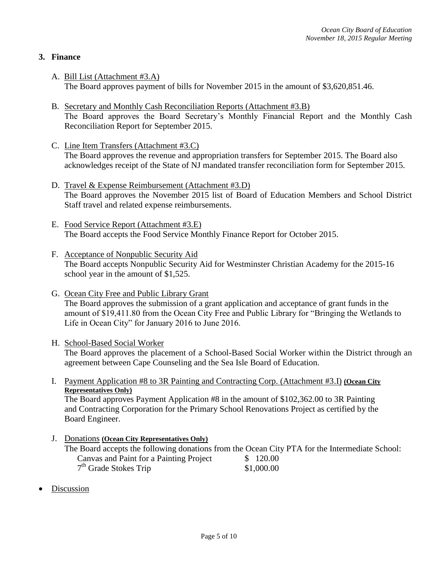# **3. Finance**

- A. Bill List (Attachment #3.A) The Board approves payment of bills for November 2015 in the amount of \$3,620,851.46.
- B. Secretary and Monthly Cash Reconciliation Reports (Attachment #3.B) The Board approves the Board Secretary's Monthly Financial Report and the Monthly Cash Reconciliation Report for September 2015.
- C. Line Item Transfers (Attachment #3.C) The Board approves the revenue and appropriation transfers for September 2015. The Board also acknowledges receipt of the State of NJ mandated transfer reconciliation form for September 2015.
- D. Travel & Expense Reimbursement (Attachment #3.D) The Board approves the November 2015 list of Board of Education Members and School District Staff travel and related expense reimbursements.
- E. Food Service Report (Attachment #3.E) The Board accepts the Food Service Monthly Finance Report for October 2015.
- F. Acceptance of Nonpublic Security Aid The Board accepts Nonpublic Security Aid for Westminster Christian Academy for the 2015-16 school year in the amount of \$1,525.
- G. Ocean City Free and Public Library Grant The Board approves the submission of a grant application and acceptance of grant funds in the amount of \$19,411.80 from the Ocean City Free and Public Library for "Bringing the Wetlands to Life in Ocean City" for January 2016 to June 2016.
- H. School-Based Social Worker

The Board approves the placement of a School-Based Social Worker within the District through an agreement between Cape Counseling and the Sea Isle Board of Education.

I. Payment Application #8 to 3R Painting and Contracting Corp. (Attachment #3.I) **(Ocean City Representatives Only)** The Board approves Payment Application #8 in the amount of \$102,362.00 to 3R Painting

and Contracting Corporation for the Primary School Renovations Project as certified by the Board Engineer.

- J. Donations **(Ocean City Representatives Only)** The Board accepts the following donations from the Ocean City PTA for the Intermediate School: Canvas and Paint for a Painting Project \$ 120.00 7<sup>th</sup> Grade Stokes Trip \$1,000.00
- Discussion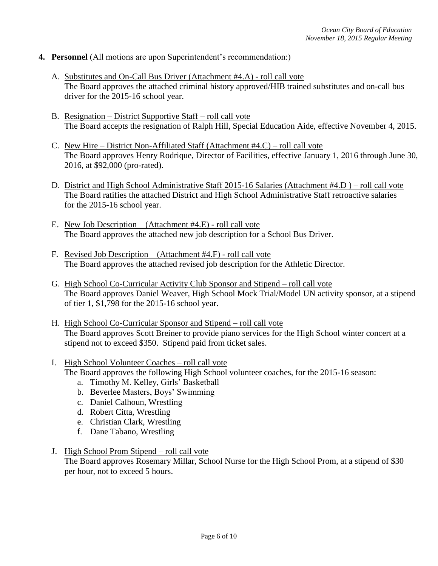- **4. Personnel** (All motions are upon Superintendent's recommendation:)
	- A. Substitutes and On-Call Bus Driver (Attachment #4.A) roll call vote The Board approves the attached criminal history approved/HIB trained substitutes and on-call bus driver for the 2015-16 school year.
	- B. Resignation District Supportive Staff roll call vote The Board accepts the resignation of Ralph Hill, Special Education Aide, effective November 4, 2015.
	- C. New Hire District Non-Affiliated Staff (Attachment #4.C) roll call vote The Board approves Henry Rodrique, Director of Facilities, effective January 1, 2016 through June 30, 2016, at \$92,000 (pro-rated).
	- D. District and High School Administrative Staff 2015-16 Salaries (Attachment #4.D ) roll call vote The Board ratifies the attached District and High School Administrative Staff retroactive salaries for the 2015-16 school year.
	- E. New Job Description (Attachment #4.E) roll call vote The Board approves the attached new job description for a School Bus Driver.
	- F. Revised Job Description (Attachment #4.F) roll call vote The Board approves the attached revised job description for the Athletic Director.
	- G. High School Co-Curricular Activity Club Sponsor and Stipend roll call vote The Board approves Daniel Weaver, High School Mock Trial/Model UN activity sponsor, at a stipend of tier 1, \$1,798 for the 2015-16 school year.
	- H. High School Co-Curricular Sponsor and Stipend roll call vote The Board approves Scott Breiner to provide piano services for the High School winter concert at a stipend not to exceed \$350. Stipend paid from ticket sales.
	- I. High School Volunteer Coaches roll call vote The Board approves the following High School volunteer coaches, for the 2015-16 season:
		- a. Timothy M. Kelley, Girls' Basketball
		- b. Beverlee Masters, Boys' Swimming
		- c. Daniel Calhoun, Wrestling
		- d. Robert Citta, Wrestling
		- e. Christian Clark, Wrestling
		- f. Dane Tabano, Wrestling
	- J. High School Prom Stipend roll call vote

The Board approves Rosemary Millar, School Nurse for the High School Prom, at a stipend of \$30 per hour, not to exceed 5 hours.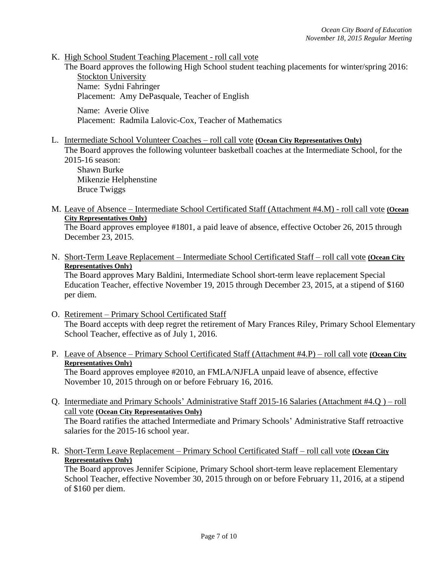K. High School Student Teaching Placement - roll call vote

The Board approves the following High School student teaching placements for winter/spring 2016: Stockton University Name: Sydni Fahringer

Placement: Amy DePasquale, Teacher of English

Name: Averie Olive Placement: Radmila Lalovic-Cox, Teacher of Mathematics

L. Intermediate School Volunteer Coaches – roll call vote **(Ocean City Representatives Only)** The Board approves the following volunteer basketball coaches at the Intermediate School, for the 2015-16 season:

Shawn Burke Mikenzie Helphenstine Bruce Twiggs

M. Leave of Absence – Intermediate School Certificated Staff (Attachment #4.M) - roll call vote **(Ocean City Representatives Only)**

The Board approves employee #1801, a paid leave of absence, effective October 26, 2015 through December 23, 2015.

N. Short-Term Leave Replacement – Intermediate School Certificated Staff – roll call vote **(Ocean City Representatives Only)**

The Board approves Mary Baldini, Intermediate School short-term leave replacement Special Education Teacher, effective November 19, 2015 through December 23, 2015, at a stipend of \$160 per diem.

- O. Retirement Primary School Certificated Staff The Board accepts with deep regret the retirement of Mary Frances Riley, Primary School Elementary School Teacher, effective as of July 1, 2016.
- P. Leave of Absence Primary School Certificated Staff (Attachment #4.P) roll call vote **(Ocean City Representatives Only)** The Board approves employee #2010, an FMLA/NJFLA unpaid leave of absence, effective

November 10, 2015 through on or before February 16, 2016.

- Q. Intermediate and Primary Schools' Administrative Staff 2015-16 Salaries (Attachment #4.Q ) roll call vote **(Ocean City Representatives Only)** The Board ratifies the attached Intermediate and Primary Schools' Administrative Staff retroactive salaries for the 2015-16 school year.
- R. Short-Term Leave Replacement Primary School Certificated Staff roll call vote **(Ocean City Representatives Only)**

The Board approves Jennifer Scipione*,* Primary School short-term leave replacement Elementary School Teacher, effective November 30, 2015 through on or before February 11, 2016, at a stipend of \$160 per diem.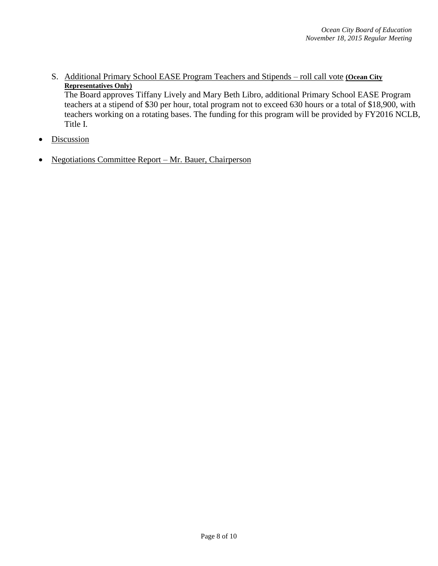S. Additional Primary School EASE Program Teachers and Stipends – roll call vote **(Ocean City Representatives Only)**

The Board approves Tiffany Lively and Mary Beth Libro, additional Primary School EASE Program teachers at a stipend of \$30 per hour, total program not to exceed 630 hours or a total of \$18,900, with teachers working on a rotating bases. The funding for this program will be provided by FY2016 NCLB, Title I.

- Discussion
- Negotiations Committee Report Mr. Bauer, Chairperson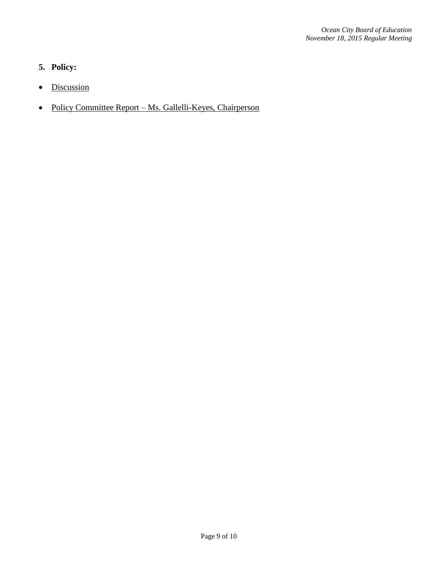# **5. Policy:**

- Discussion
- Policy Committee Report Ms. Gallelli-Keyes, Chairperson